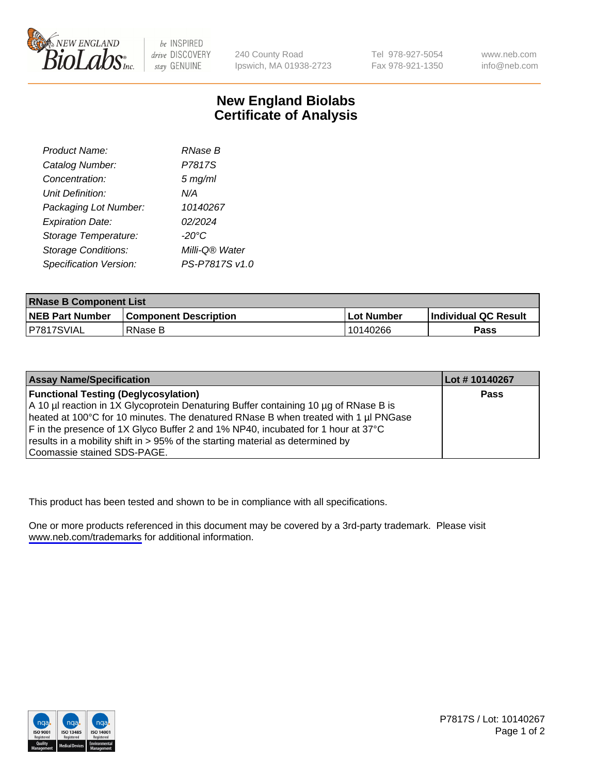

be INSPIRED drive DISCOVERY stay GENUINE

240 County Road Ipswich, MA 01938-2723 Tel 978-927-5054 Fax 978-921-1350

www.neb.com info@neb.com

## **New England Biolabs Certificate of Analysis**

| Product Name:              | <b>RNase B</b> |
|----------------------------|----------------|
| Catalog Number:            | P7817S         |
| Concentration:             | $5$ mg/ml      |
| Unit Definition:           | N/A            |
| Packaging Lot Number:      | 10140267       |
| <b>Expiration Date:</b>    | 02/2024        |
| Storage Temperature:       | -20°C          |
| <b>Storage Conditions:</b> | Milli-Q® Water |
| Specification Version:     | PS-P7817S v1.0 |

| <b>RNase B Component List</b> |                              |            |                      |  |
|-------------------------------|------------------------------|------------|----------------------|--|
| <b>NEB Part Number</b>        | <b>Component Description</b> | Lot Number | Individual QC Result |  |
| P7817SVIAL                    | RNase B                      | 10140266   | <b>Pass</b>          |  |

| <b>Assay Name/Specification</b>                                                      | Lot # 10140267 |
|--------------------------------------------------------------------------------------|----------------|
| <b>Functional Testing (Deglycosylation)</b>                                          | <b>Pass</b>    |
| A 10 µl reaction in 1X Glycoprotein Denaturing Buffer containing 10 µg of RNase B is |                |
| heated at 100°C for 10 minutes. The denatured RNase B when treated with 1 µl PNGase  |                |
| F in the presence of 1X Glyco Buffer 2 and 1% NP40, incubated for 1 hour at 37°C     |                |
| results in a mobility shift in > 95% of the starting material as determined by       |                |
| Coomassie stained SDS-PAGE.                                                          |                |

This product has been tested and shown to be in compliance with all specifications.

One or more products referenced in this document may be covered by a 3rd-party trademark. Please visit <www.neb.com/trademarks>for additional information.